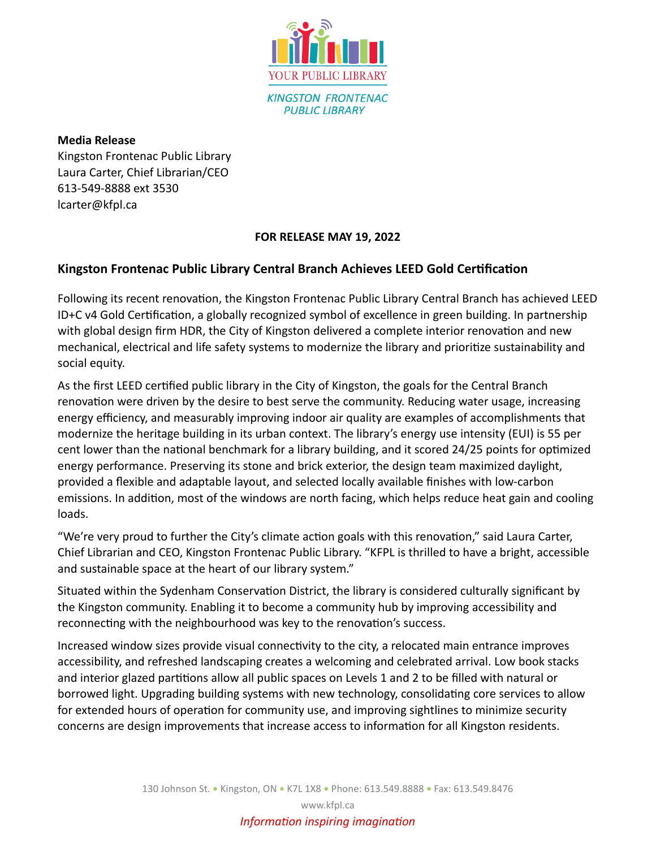

**Media Release** Kingston Frontenac Public Library Laura Carter, Chief Librarian/CEO 613-549-8888 ext 3530 lcarter@kfpl.ca

## **FOR RELEASE MAY 19, 2022**

## **Kingston Frontenac Public Library Central Branch Achieves LEED Gold Certification**

Following its recent renovation, the Kingston Frontenac Public Library Central Branch has achieved LEED ID+C v4 Gold Certification, a globally recognized symbol of excellence in green building. In partnership with global design firm HDR, the City of Kingston delivered a complete interior renovation and new mechanical, electrical and life safety systems to modernize the library and prioritize sustainability and social equity.

As the first LEED certified public library in the City of Kingston, the goals for the Central Branch renovation were driven by the desire to best serve the community. Reducing water usage, increasing energy efficiency, and measurably improving indoor air quality are examples of accomplishments that modernize the heritage building in its urban context. The library's energy use intensity (EUI) is 55 per cent lower than the national benchmark for a library building, and it scored 24/25 points for optimized energy performance. Preserving its stone and brick exterior, the design team maximized daylight, provided a flexible and adaptable layout, and selected locally available finishes with low-carbon emissions. In addition, most of the windows are north facing, which helps reduce heat gain and cooling loads.

"We're very proud to further the City's climate action goals with this renovation," said Laura Carter, Chief Librarian and CEO, Kingston Frontenac Public Library. "KFPL is thrilled to have a bright, accessible and sustainable space at the heart of our library system."

Situated within the Sydenham Conservation District, the library is considered culturally significant by the Kingston community. Enabling it to become a community hub by improving accessibility and reconnecting with the neighbourhood was key to the renovation's success.

Increased window sizes provide visual connectivity to the city, a relocated main entrance improves accessibility, and refreshed landscaping creates a welcoming and celebrated arrival. Low book stacks and interior glazed partitions allow all public spaces on Levels 1 and 2 to be filled with natural or borrowed light. Upgrading building systems with new technology, consolidating core services to allow for extended hours of operation for community use, and improving sightlines to minimize security concerns are design improvements that increase access to information for all Kingston residents.

www.kfpl.ca